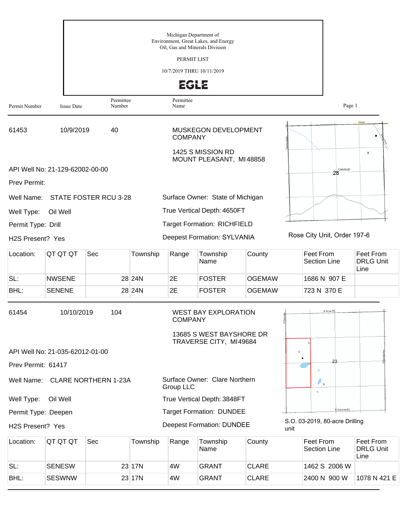|                               |                                 |                                 |          | Michigan Department of<br>Oil, Gas and Minerals Division | Environment, Great Lakes, and Energy                                              |               |        |                                  |                                       |
|-------------------------------|---------------------------------|---------------------------------|----------|----------------------------------------------------------|-----------------------------------------------------------------------------------|---------------|--------|----------------------------------|---------------------------------------|
|                               |                                 |                                 |          | PERMIT LIST                                              |                                                                                   |               |        |                                  |                                       |
|                               |                                 |                                 |          | 10/7/2019 THRU 10/11/2019                                |                                                                                   |               |        |                                  |                                       |
|                               |                                 |                                 |          | <b>EGLE</b>                                              |                                                                                   |               |        |                                  |                                       |
| Permit Number                 | <b>Issue Date</b>               | Permittee<br>Number             |          | Permittee<br>Name                                        |                                                                                   |               |        | Page 1                           |                                       |
| 61453                         | 10/9/2019                       | 40                              |          | <b>COMPANY</b>                                           | <b>MUSKEGON DEVELOPMENT</b>                                                       |               |        |                                  |                                       |
|                               |                                 |                                 |          |                                                          | 1425 S MISSION RD<br>MOUNT PLEASANT, MI48858                                      |               |        | <b>T24NR02E</b>                  | X                                     |
| <b>Prev Permit:</b>           | API Well No: 21-129-62002-00-00 |                                 |          |                                                          |                                                                                   |               |        | 28                               |                                       |
| Well Name:                    |                                 | STATE FOSTER RCU 3-28           |          |                                                          | Surface Owner: State of Michigan                                                  |               |        |                                  |                                       |
| Well Type:                    | Oil Well                        |                                 |          |                                                          | True Vertical Depth: 4650FT                                                       |               |        |                                  |                                       |
| Permit Type: Drill            |                                 |                                 |          |                                                          | <b>Target Formation: RICHFIELD</b>                                                |               |        |                                  |                                       |
| H <sub>2</sub> S Present? Yes |                                 |                                 |          |                                                          | <b>Deepest Formation: SYLVANIA</b>                                                |               |        | Rose City Unit, Order 197-6      |                                       |
| Location:                     | QT QT QT                        | Sec                             | Township | Range                                                    | Township<br>Name                                                                  | County        |        | Feet From<br><b>Section Line</b> | Feet From<br><b>DRLG Unit</b><br>Line |
| SL:                           | <b>NWSENE</b>                   |                                 | 28 24N   | 2E                                                       | <b>FOSTER</b>                                                                     | <b>OGEMAW</b> |        | 1686 N 907 E                     |                                       |
| BHL:                          | <b>SENENE</b>                   |                                 | 28 24N   | 2E                                                       | <b>FOSTER</b>                                                                     | <b>OGEMAW</b> |        | 723 N 370 E                      |                                       |
| 61454                         | 10/10/2019                      | 104                             |          | <b>COMPANY</b>                                           | <b>WEST BAY EXPLORATION</b><br>13685 S WEST BAYSHORE DR<br>TRAVERSE CITY, MI49684 |               |        | E Surrey Rd                      |                                       |
|                               | API Well No: 21-035-62012-01-00 |                                 |          |                                                          |                                                                                   |               | $\Box$ |                                  |                                       |
| Prev Permit: 61417            |                                 |                                 |          |                                                          |                                                                                   |               |        |                                  |                                       |
|                               |                                 | Well Name: CLARE NORTHERN 1-23A |          | Group LLC                                                | Surface Owner: Clare Northern                                                     |               |        | $\ell_{\mathbf{x}}$              |                                       |
| Well Type:                    | Oil Well                        |                                 |          |                                                          | True Vertical Depth: 3848FT                                                       |               |        |                                  |                                       |
| Permit Type: Deepen           |                                 |                                 |          |                                                          | <b>Target Formation: DUNDEE</b>                                                   |               |        | Colonville Rd                    |                                       |
| H2S Present? Yes              |                                 |                                 |          |                                                          | <b>Deepest Formation: DUNDEE</b>                                                  |               | unit   | S.O. 03-2019, 80-acre Drilling   |                                       |
| Location:                     | QT QT QT                        | Sec                             | Township | Range                                                    | Township<br>Name                                                                  | County        |        | Feet From<br><b>Section Line</b> | Feet From<br><b>DRLG Unit</b><br>Line |
| SL:                           | <b>SENESW</b>                   |                                 | 23 17N   | 4W                                                       | <b>GRANT</b>                                                                      | <b>CLARE</b>  |        | 1462 S 2006 W                    |                                       |
| BHL:                          | <b>SESWNW</b>                   |                                 | 23 17N   | 4W                                                       | <b>GRANT</b>                                                                      | <b>CLARE</b>  |        | 2400 N 900 W                     | 1078 N 421 E                          |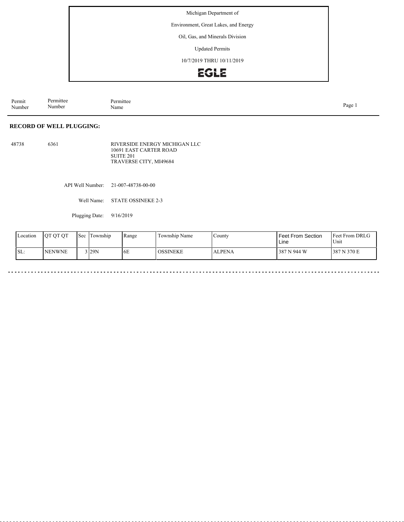Michigan Department of

Environment, Great Lakes, and Energy

Oil, Gas, and Minerals Division

Updated Permits

10/7/2019 THRU 10/11/2019



Permit Number Permittee Number Permittee<br>Name Name Page 1

## **RECORD OF WELL PLUGGING:**

48738 6361 RIVERSIDE ENERGY MICHIGAN LLC 10691 EAST CARTER ROAD SUITE 201 TRAVERSE CITY, MI49684

API Well Number: 21-007-48738-00-00

Well Name: STATE OSSINEKE 2-3

Plugging Date: 9/16/2019

| Location | <b>JOT OT OT</b> | Sec | l'I`ownship | Range | Township Name<br>$\sim$ | County        | <b>Feet From Section</b><br>Line | <b>Feet From DRLG</b><br>Unit |
|----------|------------------|-----|-------------|-------|-------------------------|---------------|----------------------------------|-------------------------------|
| SL:      | <b>INENWNE</b>   |     | 129N        | 6E    | <b>OSSINEKE</b>         | <b>ALPENA</b> | 387 N 944 W                      | 387 N 370 E                   |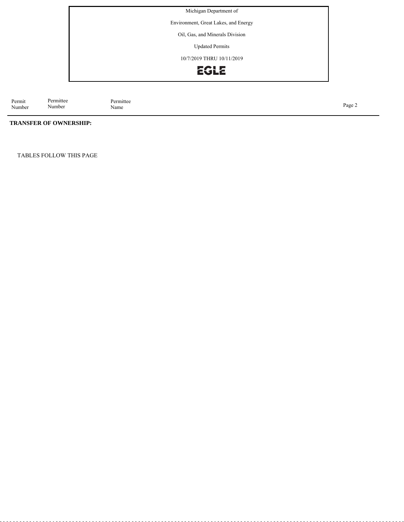Michigan Department of

Environment, Great Lakes, and Energy

Oil, Gas, and Minerals Division

Updated Permits

10/7/2019 THRU 10/11/2019



Permit Number Permittee<br>Name Page 2<br>Name

## **TRANSFER OF OWNERSHIP:**

Permittee Number

TABLES FOLLOW THIS PAGE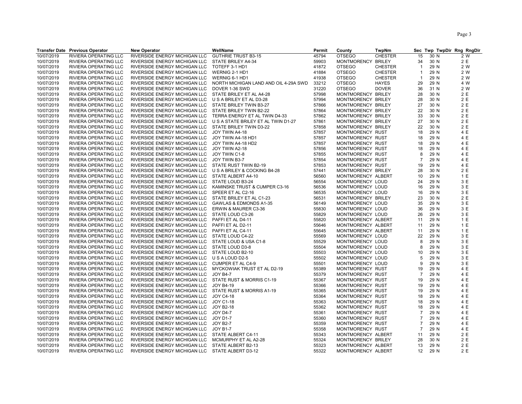|            | <b>Transfer Date Previous Operator</b> | <b>New Operator</b>                              | WellName                              | Permit | County             | TwpNm          |                |      | Sec Twp TwpDir Rng RngDir |
|------------|----------------------------------------|--------------------------------------------------|---------------------------------------|--------|--------------------|----------------|----------------|------|---------------------------|
| 10/07/2019 | RIVIERA OPERATING LLC                  | RIVERSIDE ENERGY MICHIGAN LLC                    | <b>GUTHRIE TRUST B3-15</b>            | 45794  | <b>OTSEGO</b>      | <b>CHESTER</b> | 15             | 30 N | 2 W                       |
| 10/07/2019 | RIVIERA OPERATING LLC                  | RIVERSIDE ENERGY MICHIGAN LLC                    | STATE BRILEY A4-34                    | 59903  | MONTMORENCY BRILEY |                | 34             | 30 N | 2 E                       |
| 10/07/2019 | RIVIERA OPERATING LLC                  | RIVERSIDE ENERGY MICHIGAN LLC                    | TOTEFF 3-1 HD1                        | 41872  | <b>OTSEGO</b>      | <b>CHESTER</b> | $\overline{1}$ | 29 N | 2 W                       |
| 10/07/2019 | RIVIERA OPERATING LLC                  | RIVERSIDE ENERGY MICHIGAN LLC                    | WERNIG 2-1 HD1                        | 41884  | <b>OTSEGO</b>      | <b>CHESTER</b> | $\overline{1}$ | 29 N | 2 W                       |
| 10/07/2019 | RIVIERA OPERATING LLC                  | RIVERSIDE ENERGY MICHIGAN LLC                    | WERNIG 6-1 HD1                        | 41938  | <b>OTSEGO</b>      | <b>CHESTER</b> | $\mathbf{1}$   | 29 N | 2 W                       |
| 10/07/2019 | RIVIERA OPERATING LLC                  | RIVERSIDE ENERGY MICHIGAN LLC                    | NORTH MICHIGAN LAND AND OIL 4-29A SWD | 33212  | <b>OTSEGO</b>      | <b>HAYES</b>   | 29             | 29 N | 4 W                       |
| 10/07/2019 | RIVIERA OPERATING LLC                  | RIVERSIDE ENERGY MICHIGAN LLC                    | DOVER 1-36 SWD                        | 31220  | <b>OTSEGO</b>      | <b>DOVER</b>   | 36             | 31 N | 2 W                       |
| 10/07/2019 | RIVIERA OPERATING LLC                  | RIVERSIDE ENERGY MICHIGAN LLC                    | STATE BRILEY ET AL A4-28              | 57998  | MONTMORENCY BRILEY |                | 28             | 30 N | 2 E                       |
| 10/07/2019 | RIVIERA OPERATING LLC                  | RIVERSIDE ENERGY MICHIGAN LLC                    | U S A BRILEY ET AL D3-28              | 57994  | MONTMORENCY BRILEY |                | 28             | 30 N | 2 E                       |
| 10/07/2019 | RIVIERA OPERATING LLC                  | RIVERSIDE ENERGY MICHIGAN LLC                    | STATE BRILEY TWIN B3-27               | 57866  | MONTMORENCY BRILEY |                | 27             | 30 N | 2 E                       |
| 10/07/2019 | RIVIERA OPERATING LLC                  | RIVERSIDE ENERGY MICHIGAN LLC                    | STATE BRILEY TWIN B2-22               | 57864  | MONTMORENCY BRILEY |                | 22             | 30 N | 2 E                       |
| 10/07/2019 | RIVIERA OPERATING LLC                  | RIVERSIDE ENERGY MICHIGAN LLC                    | TERRA ENERGY ET AL TWIN D4-33         | 57862  | MONTMORENCY BRILEY |                | 33             | 30 N | 2 E                       |
| 10/07/2019 | RIVIERA OPERATING LLC                  | RIVERSIDE ENERGY MICHIGAN LLC                    | U S A STATE BRILEY ET AL TWIN D1-27   | 57861  | MONTMORENCY BRILEY |                | 27             | 30 N | 2 E                       |
|            |                                        |                                                  |                                       |        |                    |                |                | 30 N | 2 E                       |
| 10/07/2019 | RIVIERA OPERATING LLC                  | RIVERSIDE ENERGY MICHIGAN LLC                    | STATE BRILEY TWIN D3-22               | 57858  | MONTMORENCY BRILEY |                | 22             |      | 4 E                       |
| 10/07/2019 | RIVIERA OPERATING LLC                  | RIVERSIDE ENERGY MICHIGAN LLC                    | JOY TWIN A4-18                        | 57857  | MONTMORENCY RUST   |                | 18             | 29 N | 4 E                       |
| 10/07/2019 | RIVIERA OPERATING LLC                  | RIVERSIDE ENERGY MICHIGAN LLC                    | JOY TWIN A4-18 HD1                    | 57857  | MONTMORENCY RUST   |                | 18             | 29 N |                           |
| 10/07/2019 | RIVIERA OPERATING LLC                  | RIVERSIDE ENERGY MICHIGAN LLC                    | JOY TWIN A4-18 HD2                    | 57857  | MONTMORENCY RUST   |                | 18             | 29 N | 4 E                       |
| 10/07/2019 | RIVIERA OPERATING LLC                  | RIVERSIDE ENERGY MICHIGAN LLC                    | JOY TWIN A2-18                        | 57856  | MONTMORENCY RUST   |                | 18             | 29 N | 4 E                       |
| 10/07/2019 | RIVIERA OPERATING LLC                  | RIVERSIDE ENERGY MICHIGAN LLC                    | JOY TWIN C1-8                         | 57855  | MONTMORENCY RUST   |                | 8              | 29 N | 4 E                       |
| 10/07/2019 | RIVIERA OPERATING LLC                  | RIVERSIDE ENERGY MICHIGAN LLC                    | JOY TWIN B3-7                         | 57854  | MONTMORENCY RUST   |                | $\overline{7}$ | 29 N | 4 E                       |
| 10/07/2019 | RIVIERA OPERATING LLC                  | RIVERSIDE ENERGY MICHIGAN LLC                    | STATE RUST TWIN B2-19                 | 57853  | MONTMORENCY RUST   |                | 19             | 29 N | 4 E                       |
| 10/07/2019 | RIVIERA OPERATING LLC                  | RIVERSIDE ENERGY MICHIGAN LLC                    | U S A BRILEY & COCKING B4-28          | 57441  | MONTMORENCY BRILEY |                | 28             | 30 N | 2 E                       |
| 10/07/2019 | RIVIERA OPERATING LLC                  | RIVERSIDE ENERGY MICHIGAN LLC                    | STATE ALBERT A4-10                    | 56560  | MONTMORENCY ALBERT |                | 10             | 29 N | 1 E                       |
| 10/07/2019 | RIVIERA OPERATING LLC                  | RIVERSIDE ENERGY MICHIGAN LLC                    | STATE LOUD B3-24                      | 56554  | MONTMORENCY LOUD   |                | 24             | 29 N | 3 E                       |
| 10/07/2019 | RIVIERA OPERATING LLC                  | RIVERSIDE ENERGY MICHIGAN LLC                    | KAMINSKE TRUST & CUMPER C3-16         | 56536  | MONTMORENCY LOUD   |                | 16             | 29 N | 3 E                       |
| 10/07/2019 | RIVIERA OPERATING LLC                  | RIVERSIDE ENERGY MICHIGAN LLC                    | SPEER ET AL C2-16                     | 56535  | MONTMORENCY LOUD   |                | 16             | 29 N | 3 E                       |
| 10/07/2019 | RIVIERA OPERATING LLC                  | RIVERSIDE ENERGY MICHIGAN LLC                    | STATE BRILEY ET AL C1-23              | 56531  | MONTMORENCY BRILEY |                | 23             | 30 N | 2 E                       |
| 10/07/2019 | RIVIERA OPERATING LLC                  | RIVERSIDE ENERGY MICHIGAN LLC                    | GAWLAS & EDMONDS A1-35                | 56149  | MONTMORENCY LOUD   |                | 35             | 29 N | 3 E                       |
| 10/07/2019 | RIVIERA OPERATING LLC                  | RIVERSIDE ENERGY MICHIGAN LLC                    | ERWIN & MAURER C3-36                  | 55830  | MONTMORENCY LOUD   |                | 36             | 29 N | 3 E                       |
| 10/07/2019 | RIVIERA OPERATING LLC                  | RIVERSIDE ENERGY MICHIGAN LLC                    | STATE LOUD C3-26                      | 55829  | MONTMORENCY LOUD   |                | 26             | 29 N | 3 E                       |
| 10/07/2019 | RIVIERA OPERATING LLC                  | RIVERSIDE ENERGY MICHIGAN LLC                    | PAFFI ET AL D4-11                     | 55820  | MONTMORENCY ALBERT |                | 11             | 29 N | 1 E                       |
| 10/07/2019 | RIVIERA OPERATING LLC                  | RIVERSIDE ENERGY MICHIGAN LLC                    | PAFFI ET AL D2-11                     | 55646  | MONTMORENCY ALBERT |                | 11             | 29 N | 1 E                       |
| 10/07/2019 | RIVIERA OPERATING LLC                  | RIVERSIDE ENERGY MICHIGAN LLC                    | PAFFI ET AL C4-11                     | 55645  | MONTMORENCY ALBERT |                | 11             | 29 N | 1 E                       |
| 10/07/2019 | RIVIERA OPERATING LLC                  | RIVERSIDE ENERGY MICHIGAN LLC                    | STATE LOUD C4-22                      | 55569  | MONTMORENCY LOUD   |                | 22             | 29 N | 3 E                       |
| 10/07/2019 | <b>RIVIERA OPERATING LLC</b>           | RIVERSIDE ENERGY MICHIGAN LLC                    | STATE LOUD & USA C1-8                 | 55529  | MONTMORENCY LOUD   |                | 8              | 29 N | 3 E                       |
| 10/07/2019 | RIVIERA OPERATING LLC                  | RIVERSIDE ENERGY MICHIGAN LLC                    | STATE LOUD D3-8                       | 55504  | MONTMORENCY LOUD   |                | 8              | 29 N | 3 E                       |
| 10/07/2019 | RIVIERA OPERATING LLC                  | RIVERSIDE ENERGY MICHIGAN LLC                    | STATE LOUD B2-10                      | 55503  | MONTMORENCY LOUD   |                | 10             | 29 N | 3 E                       |
| 10/07/2019 | RIVIERA OPERATING LLC                  | RIVERSIDE ENERGY MICHIGAN LLC                    | U S A LOUD D2-5                       | 55502  | MONTMORENCY LOUD   |                | 5              | 29 N | 3 E                       |
| 10/07/2019 | RIVIERA OPERATING LLC                  | RIVERSIDE ENERGY MICHIGAN LLC                    | <b>CUMPER ET AL C4-9</b>              | 55501  | MONTMORENCY LOUD   |                | 9              | 29 N | 3 E                       |
| 10/07/2019 | RIVIERA OPERATING LLC                  | RIVERSIDE ENERGY MICHIGAN LLC                    | MYCKOWIAK TRUST ET AL D2-19           | 55389  | MONTMORENCY RUST   |                | 19             | 29 N | 4 E                       |
| 10/07/2019 | RIVIERA OPERATING LLC                  | RIVERSIDE ENERGY MICHIGAN LLC                    | <b>JOY B4-7</b>                       | 55379  | MONTMORENCY RUST   |                | $\overline{7}$ | 29 N | 4 E                       |
| 10/07/2019 | RIVIERA OPERATING LLC                  | RIVERSIDE ENERGY MICHIGAN LLC                    | STATE RUST & MORRIS C1-19             | 55367  | MONTMORENCY RUST   |                | 19             | 29 N | 4 E                       |
| 10/07/2019 | RIVIERA OPERATING LLC                  | RIVERSIDE ENERGY MICHIGAN LLC                    | <b>JOY B4-19</b>                      | 55366  | MONTMORENCY RUST   |                | 19             | 29 N | 4 E                       |
| 10/07/2019 | RIVIERA OPERATING LLC                  | RIVERSIDE ENERGY MICHIGAN LLC                    | STATE RUST & MORRIS A1-19             | 55365  | MONTMORENCY RUST   |                | 19             | 29 N | 4 E                       |
| 10/07/2019 | RIVIERA OPERATING LLC                  | RIVERSIDE ENERGY MICHIGAN LLC                    | <b>JOY C4-18</b>                      | 55364  | MONTMORENCY RUST   |                | 18             | 29 N | 4 E                       |
| 10/07/2019 | RIVIERA OPERATING LLC                  | RIVERSIDE ENERGY MICHIGAN LLC                    | JOY C1-18                             | 55363  | MONTMORENCY RUST   |                | 18             | 29 N | 4 E                       |
| 10/07/2019 | RIVIERA OPERATING LLC                  | RIVERSIDE ENERGY MICHIGAN LLC                    | <b>JOY B2-18</b>                      | 55362  | MONTMORENCY RUST   |                | 18             | 29 N | 4 E                       |
| 10/07/2019 | RIVIERA OPERATING LLC                  | RIVERSIDE ENERGY MICHIGAN LLC                    | <b>JOY D4-7</b>                       | 55361  | MONTMORENCY RUST   |                | $\overline{7}$ | 29 N | 4 E                       |
| 10/07/2019 | RIVIERA OPERATING LLC                  | RIVERSIDE ENERGY MICHIGAN LLC                    | <b>JOY D1-7</b>                       | 55360  | MONTMORENCY RUST   |                | $\overline{7}$ | 29 N | 4 E                       |
| 10/07/2019 | RIVIERA OPERATING LLC                  | RIVERSIDE ENERGY MICHIGAN LLC                    | <b>JOY B2-7</b>                       | 55359  | MONTMORENCY RUST   |                | 7              | 29 N | 4 E                       |
| 10/07/2019 | RIVIERA OPERATING LLC                  | RIVERSIDE ENERGY MICHIGAN LLC                    | <b>JOY B1-7</b>                       | 55358  | MONTMORENCY RUST   |                | $\overline{7}$ | 29 N | 4 E                       |
| 10/07/2019 | RIVIERA OPERATING LLC                  | RIVERSIDE ENERGY MICHIGAN LLC                    | STATE ALBERT C4-11                    | 55343  | MONTMORENCY ALBERT |                | 11             | 29 N | 2 E                       |
| 10/07/2019 | RIVIERA OPERATING LLC                  | RIVERSIDE ENERGY MICHIGAN LLC                    | MCMURPHY ET AL A2-28                  | 55324  | MONTMORENCY BRILEY |                | 28             | 30 N | 2 E                       |
| 10/07/2019 | RIVIERA OPERATING LLC                  | RIVERSIDE ENERGY MICHIGAN LLC                    | STATE ALBERT B2-13                    | 55323  | MONTMORENCY ALBERT |                | 13             | 29 N | 2 E                       |
| 10/07/2019 | RIVIERA OPERATING LLC                  | RIVERSIDE ENERGY MICHIGAN LLC STATE ALBERT D3-12 |                                       | 55322  | MONTMORENCY ALBERT |                | 12             | 29 N | 2 E                       |
|            |                                        |                                                  |                                       |        |                    |                |                |      |                           |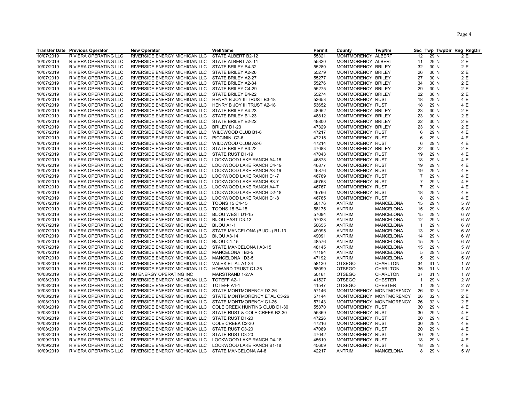| <b>Transfer Date Previous Operator</b><br><b>New Operator</b><br>WellName<br>Permit<br>County                                               | TwpNm                   |                |      | Sec Twp TwpDir Rng RngDir |
|---------------------------------------------------------------------------------------------------------------------------------------------|-------------------------|----------------|------|---------------------------|
| RIVIERA OPERATING LLC<br>RIVERSIDE ENERGY MICHIGAN LLC<br>STATE ALBERT B2-12<br>55321<br>MONTMORENCY ALBERT<br>10/07/2019                   |                         | 12             | 29 N | 2 E                       |
| 55320<br>10/07/2019<br>RIVIERA OPERATING LLC<br>RIVERSIDE ENERGY MICHIGAN LLC<br>STATE ALBERT A3-11<br>MONTMORENCY ALBERT                   |                         | 11             | 29 N | 2 E                       |
| 10/07/2019<br>55280<br>RIVIERA OPERATING LLC<br>RIVERSIDE ENERGY MICHIGAN LLC<br>STATE BRILEY B4-32<br>MONTMORENCY BRILEY                   |                         | 32             | 30 N | 2 E                       |
| 55279<br>10/07/2019<br>RIVIERA OPERATING LLC<br>RIVERSIDE ENERGY MICHIGAN LLC<br>STATE BRILEY A2-26<br>MONTMORENCY BRILEY                   |                         | 26             | 30 N | 2 E                       |
| 10/07/2019<br>55277<br>MONTMORENCY BRILEY<br>RIVIERA OPERATING LLC<br>RIVERSIDE ENERGY MICHIGAN LLC<br>STATE BRILEY A2-27                   |                         | 27             | 30 N | 2 E                       |
| 10/07/2019<br>55276<br>RIVIERA OPERATING LLC<br>RIVERSIDE ENERGY MICHIGAN LLC<br>STATE BRILEY A2-34<br>MONTMORENCY BRILEY                   |                         | 34             | 30 N | 2 E                       |
| 55275<br>STATE BRILEY C4-29<br>MONTMORENCY BRILEY<br>10/07/2019<br>RIVIERA OPERATING LLC<br>RIVERSIDE ENERGY MICHIGAN LLC                   |                         | 29             | 30 N | 2 E                       |
| 10/07/2019<br>STATE BRILEY B4-22<br>55274<br>MONTMORENCY BRILEY<br>RIVIERA OPERATING LLC<br>RIVERSIDE ENERGY MICHIGAN LLC                   |                         | 22             | 30 N | 2 E                       |
| 10/07/2019<br>53653<br>MONTMORENCY RUST<br>RIVIERA OPERATING LLC<br>RIVERSIDE ENERGY MICHIGAN LLC<br>HENRY B JOY III TRUST B3-18            |                         | 18             | 29 N | 4 E                       |
| 53652<br>10/07/2019<br>RIVIERA OPERATING LLC<br>RIVERSIDE ENERGY MICHIGAN LLC<br>HENRY B JOY III TRUST A2-18<br>MONTMORENCY RUST            |                         | 18             | 29 N | 4 E                       |
| 48952<br>10/07/2019<br>RIVIERA OPERATING LLC<br>RIVERSIDE ENERGY MICHIGAN LLC<br>STATE BRILEY A4-23<br>MONTMORENCY BRILEY                   |                         | 23             | 30 N | 2 E                       |
| 10/07/2019<br>48812<br>RIVIERA OPERATING LLC<br>RIVERSIDE ENERGY MICHIGAN LLC<br>STATE BRILEY B1-23<br>MONTMORENCY BRILEY                   |                         | 23             | 30 N | 2 E                       |
| 48800<br>10/07/2019<br>RIVIERA OPERATING LLC<br>RIVERSIDE ENERGY MICHIGAN LLC<br>STATE BRILEY B2-22<br>MONTMORENCY BRILEY                   |                         | 22             | 30 N | 2 E                       |
| 10/07/2019<br>47329<br>MONTMORENCY BRILEY<br>RIVIERA OPERATING LLC<br>RIVERSIDE ENERGY MICHIGAN LLC<br>BRILEY D1-23                         |                         | 23             | 30 N | 2 E                       |
| 10/07/2019<br>47217<br>MONTMORENCY RUST<br>RIVIERA OPERATING LLC<br>RIVERSIDE ENERGY MICHIGAN LLC<br>WILDWOOD CLUB B1-6                     |                         | 6              | 29 N | 4 E                       |
| 47215<br>MONTMORENCY RUST<br>10/07/2019<br>RIVIERA OPERATING LLC<br>RIVERSIDE ENERGY MICHIGAN LLC<br>PICCININI C2-6                         |                         | 6              | 29 N | 4 E                       |
| 10/07/2019<br>WILDWOOD CLUB A2-6<br>47214<br>MONTMORENCY RUST<br>RIVIERA OPERATING LLC<br>RIVERSIDE ENERGY MICHIGAN LLC                     |                         | 6              | 29 N | 4 E                       |
| 10/07/2019<br>47083<br>RIVIERA OPERATING LLC<br>RIVERSIDE ENERGY MICHIGAN LLC<br>STATE BRILEY B3-22<br>MONTMORENCY BRILEY                   |                         | 22             | 30 N | 2 E                       |
| 47043<br>10/07/2019<br>RIVERSIDE ENERGY MICHIGAN LLC<br>MONTMORENCY RUST<br>RIVIERA OPERATING LLC<br>STATE RUST D1-19                       |                         | 19             | 29 N | 4 E                       |
| 10/07/2019<br>RIVIERA OPERATING LLC<br>RIVERSIDE ENERGY MICHIGAN LLC<br>LOCKWOOD LAKE RANCH A4-18<br>46878<br>MONTMORENCY RUST              |                         | 18             | 29 N | 4 E                       |
| 10/07/2019<br>46877<br>MONTMORENCY RUST<br>RIVIERA OPERATING LLC<br>RIVERSIDE ENERGY MICHIGAN LLC<br>LOCKWOOD LAKE RANCH C4-19              |                         | 19             | 29 N | 4 E                       |
| 46876<br>RIVIERA OPERATING LLC<br>RIVERSIDE ENERGY MICHIGAN LLC<br>LOCKWOOD LAKE RANCH A3-19<br>MONTMORENCY RUST                            |                         | 19             | 29 N | 4 E                       |
| 10/07/2019<br>10/07/2019<br>46769<br>MONTMORENCY RUST<br>RIVIERA OPERATING LLC<br>RIVERSIDE ENERGY MICHIGAN LLC<br>LOCKWOOD LAKE RANCH C1-7 |                         | $\overline{7}$ | 29 N | 4 E                       |
| 10/07/2019<br>46768<br>RIVIERA OPERATING LLC<br>RIVERSIDE ENERGY MICHIGAN LLC<br>LOCKWOOD LAKE RANCH B3-7<br>MONTMORENCY RUST               |                         | $\overline{7}$ | 29 N | 4 E                       |
| 46767<br>MONTMORENCY RUST<br>10/07/2019<br>RIVIERA OPERATING LLC<br>RIVERSIDE ENERGY MICHIGAN LLC<br>LOCKWOOD LAKE RANCH A4-7               |                         | 7              | 29 N | 4 E                       |
| 10/07/2019<br>46766<br>MONTMORENCY RUST<br>RIVIERA OPERATING LLC<br>RIVERSIDE ENERGY MICHIGAN LLC<br>LOCKWOOD LAKE RANCH D2-18              |                         | 18             | 29 N | 4 E                       |
| 10/07/2019<br>46765<br>MONTMORENCY RUST<br>RIVIERA OPERATING LLC<br>RIVERSIDE ENERGY MICHIGAN LLC<br>LOCKWOOD LAKE RANCH C1-8               |                         | 8              | 29 N | 4 E                       |
| RIVIERA OPERATING LLC<br>RIVERSIDE ENERGY MICHIGAN LLC<br>58176<br><b>ANTRIM</b><br>10/07/2019<br><b>TOONS 15 C4-15</b>                     | MANCELONA               | 15             | 29 N | 5 W                       |
| 10/07/2019<br>RIVIERA OPERATING LLC<br>58175<br><b>ANTRIM</b><br>RIVERSIDE ENERGY MICHIGAN LLC<br><b>TOONS 15 B4-15</b>                     | <b>MANCELONA</b>        | 15             | 29 N | 5 W                       |
| 10/07/2019<br>RIVIERA OPERATING LLC<br>57094<br><b>ANTRIM</b><br>RIVERSIDE ENERGY MICHIGAN LLC<br><b>BIJOU WEST D1-15</b>                   | <b>MANCELONA</b>        | 15             | 29 N | 6 W                       |
| 57028<br>10/07/2019<br>RIVIERA OPERATING LLC<br>RIVERSIDE ENERGY MICHIGAN LLC<br><b>BIJOU EAST D3-12</b><br><b>ANTRIM</b>                   | <b>MANCELONA</b>        | 12             | 29 N | 6 W                       |
| 10/07/2019<br>RIVIERA OPERATING LLC<br>RIVERSIDE ENERGY MICHIGAN LLC<br>BIJOU A1-1<br>50655<br><b>ANTRIM</b>                                | MANCELONA               | $\mathbf{1}$   | 29 N | 6 W                       |
| 10/07/2019<br>RIVIERA OPERATING LLC<br>RIVERSIDE ENERGY MICHIGAN LLC<br>STATE MANCELONA (BIJOU) B1-13<br>49095<br><b>ANTRIM</b>             | MANCELONA               | 13             | 29 N | 6 W                       |
| 49091<br>10/07/2019<br>RIVIERA OPERATING LLC<br>RIVERSIDE ENERGY MICHIGAN LLC<br>BIJOU A3-14<br><b>ANTRIM</b>                               | <b>MANCELONA</b>        | 14             | 29 N | 6 W                       |
| 10/07/2019<br>48576<br>RIVIERA OPERATING LLC<br>RIVERSIDE ENERGY MICHIGAN LLC<br>BIJOU C1-15<br><b>ANTRIM</b>                               | MANCELONA               | 15             | 29 N | 6 W                       |
| 10/07/2019<br>48145<br>RIVIERA OPERATING LLC<br>RIVERSIDE ENERGY MICHIGAN LLC<br>STATE MANCELONA I A3-15<br><b>ANTRIM</b>                   | <b>MANCELONA</b>        | 15             | 29 N | 5 W                       |
| 47194<br><b>ANTRIM</b><br>10/07/2019<br>RIVIERA OPERATING LLC<br>RIVERSIDE ENERGY MICHIGAN LLC<br>MANCELONA I B2-5                          | <b>MANCELONA</b>        | 5              | 29 N | 5 W                       |
| 10/07/2019<br>RIVIERA OPERATING LLC<br>MANCELONA I D3-5<br>47192<br><b>ANTRIM</b><br>RIVERSIDE ENERGY MICHIGAN LLC                          | <b>MANCELONA</b>        | 5              | 29 N | 5 W                       |
| 10/08/2019<br>58130<br><b>OTSEGO</b><br>RIVIERA OPERATING LLC<br>RIVERSIDE ENERGY MICHIGAN LLC<br>VALEK ET AL A1-34                         | <b>CHARLTON</b>         | 34             | 31 N | 1 W                       |
| 58099<br>10/08/2019<br>RIVIERA OPERATING LLC<br>RIVERSIDE ENERGY MICHIGAN LLC<br><b>HOWARD TRUST C1-35</b><br><b>OTSEGO</b>                 | <b>CHARLTON</b>         | 35             | 31 N | 1 W                       |
| 10/08/2019<br>RIVIERA OPERATING LLC<br>NU ENERGY OPERATING INC<br>MARSTRAND 1-27A<br>50161<br><b>OTSEGO</b>                                 | CHARLTON                | 27             | 31 N | 1 W                       |
| 10/08/2019<br>RIVIERA OPERATING LLC<br>RIVERSIDE ENERGY MICHIGAN LLC<br>TOTEFF A2-1<br>41527<br><b>OTSEGO</b>                               | <b>CHESTER</b>          | $\mathbf{1}$   | 29 N | 2 W                       |
| 41547<br><b>OTSEGO</b><br>10/08/2019<br>RIVIERA OPERATING LLC<br>RIVERSIDE ENERGY MICHIGAN LLC<br>TOTEFF A1-1                               | <b>CHESTER</b>          | $\mathbf{1}$   | 29 N | 2 W                       |
| 10/08/2019<br>RIVIERA OPERATING LLC<br>RIVERSIDE ENERGY MICHIGAN LLC<br>STATE MONTMORENCY D2-26<br>57146                                    | MONTMORENCY MONTMORENCY | 26             | 32 N | 2 E                       |
| 10/08/2019<br>RIVIERA OPERATING LLC<br>RIVERSIDE ENERGY MICHIGAN LLC<br>STATE MONTMORENCY ETAL C3-26<br>57144                               | MONTMORENCY MONTMORENCY | 26             | 32 N | 2 E                       |
| 57143<br>10/08/2019<br>RIVIERA OPERATING LLC<br>STATE MONTMORENCY C1-26<br>RIVERSIDE ENERGY MICHIGAN LLC                                    | MONTMORENCY MONTMORENCY | 26             | 32 N | 2 E                       |
| 10/08/2019<br>RIVERSIDE ENERGY MICHIGAN LLC<br>COLE CREEK HUNTING CLUB D1-30<br>55370<br>MONTMORENCY RUST<br>RIVIERA OPERATING LLC          |                         | 30             | 29 N | 4 E                       |
| 10/08/2019<br>55369<br>MONTMORENCY RUST<br>RIVIERA OPERATING LLC<br>RIVERSIDE ENERGY MICHIGAN LLC<br>STATE RUST & COLE CREEK B2-30          |                         | 30             | 29 N | 4 E                       |
| 10/08/2019<br>RIVIERA OPERATING LLC<br>RIVERSIDE ENERGY MICHIGAN LLC<br>STATE RUST D1-20<br>47226<br>MONTMORENCY RUST                       |                         | 20             | 29 N | 4 E                       |
| 10/08/2019<br>RIVIERA OPERATING LLC<br>RIVERSIDE ENERGY MICHIGAN LLC<br>COLE CREEK C2-30<br>47216<br>MONTMORENCY RUST                       |                         | 30             | 29 N | 4 E                       |
| 10/08/2019<br>RIVIERA OPERATING LLC<br>RIVERSIDE ENERGY MICHIGAN LLC<br>STATE RUST C3-20<br>47089<br>MONTMORENCY RUST                       |                         | 20             | 29 N | 4 E                       |
| 47042<br>10/08/2019<br>RIVIERA OPERATING LLC<br>RIVERSIDE ENERGY MICHIGAN LLC<br>STATE RUST D3-20<br>MONTMORENCY RUST                       |                         | 20             | 29 N | 4 E                       |
| 10/09/2019<br>RIVIERA OPERATING LLC<br>RIVERSIDE ENERGY MICHIGAN LLC<br>LOCKWOOD LAKE RANCH D4-18<br>45610<br>MONTMORENCY RUST              |                         | 18             | 29 N | 4 E                       |
| 10/09/2019<br>RIVIERA OPERATING LLC<br>RIVERSIDE ENERGY MICHIGAN LLC<br>LOCKWOOD LAKE RANCH B1-18<br>45609<br>MONTMORENCY RUST              |                         | 18             | 29 N | 4 E                       |
| 42217<br>10/09/2019<br>RIVIERA OPERATING LLC<br>RIVERSIDE ENERGY MICHIGAN LLC<br>STATE MANCELONA A4-8<br><b>ANTRIM</b>                      | <b>MANCELONA</b>        | 8              | 29 N | 5 W                       |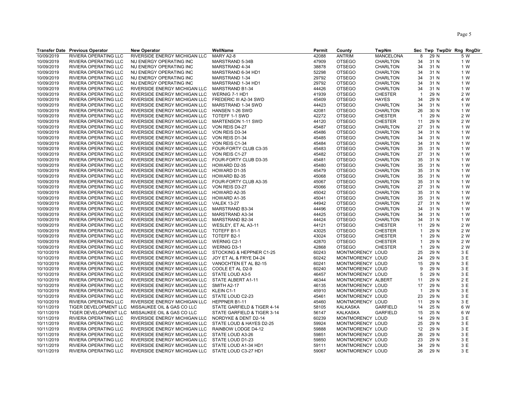|            | <b>Transfer Date Previous Operator</b> | <b>New Operator</b>                                | WellName                      | Permit         | County             | TwpNm            |                |      | Sec Twp TwpDir Rng RngDir |
|------------|----------------------------------------|----------------------------------------------------|-------------------------------|----------------|--------------------|------------------|----------------|------|---------------------------|
| 10/09/2019 | RIVIERA OPERATING LLC                  | RIVERSIDE ENERGY MICHIGAN LLC                      | MARY A2-8                     | 42088          | <b>ANTRIM</b>      | <b>MANCELONA</b> | 8              | 29 N | 5 W                       |
| 10/09/2019 | RIVIERA OPERATING LLC                  | NU ENERGY OPERATING INC                            | MARSTRAND 5-34B               | 47909          | <b>OTSEGO</b>      | <b>CHARLTON</b>  | 34             | 31 N | 1 W                       |
| 10/09/2019 | RIVIERA OPERATING LLC                  | NU ENERGY OPERATING INC                            | MARSTRAND 4-34                | 38878          | <b>OTSEGO</b>      | <b>CHARLTON</b>  | 34             | 31 N | 1 W                       |
| 10/09/2019 | RIVIERA OPERATING LLC                  | NU ENERGY OPERATING INC                            | MARSTRAND 6-34 HD1            | 52298          | <b>OTSEGO</b>      | CHARLTON         | 34             | 31 N | 1 W                       |
| 10/09/2019 | RIVIERA OPERATING LLC                  | NU ENERGY OPERATING INC                            | MARSTRAND 1-34                | 29792          | <b>OTSEGO</b>      | CHARLTON         | 34             | 31 N | 1 W                       |
| 10/09/2019 | RIVIERA OPERATING LLC                  | NU ENERGY OPERATING INC                            | MARSTRAND 1-34 HD1            | 29792          | <b>OTSEGO</b>      | CHARLTON         | 34             | 31 N | 1 W                       |
| 10/09/2019 | RIVIERA OPERATING LLC                  | RIVERSIDE ENERGY MICHIGAN LLC                      | MARSTRAND B1-34               | 44426          | <b>OTSEGO</b>      | CHARLTON         | 34             | 31 N | 1 W                       |
| 10/09/2019 | RIVIERA OPERATING LLC                  | RIVERSIDE ENERGY MICHIGAN LLC                      | WERNIG 7-1 HD1                | 41939          | <b>OTSEGO</b>      | <b>CHESTER</b>   | $\overline{1}$ | 29 N | 2 W                       |
| 10/09/2019 | RIVIERA OPERATING LLC                  | RIVERSIDE ENERGY MICHIGAN LLC                      | <b>FREDERIC III A2-34 SWD</b> | 45409          | <b>OTSEGO</b>      | <b>HAYES</b>     | 34             | 29 N | 4 W                       |
| 10/09/2019 | RIVIERA OPERATING LLC                  | RIVERSIDE ENERGY MICHIGAN LLC                      | MARSTRAND 1-34 SWD            | 44423          | <b>OTSEGO</b>      | <b>CHARLTON</b>  | 34             | 31 N | 1 W                       |
|            |                                        |                                                    |                               |                |                    |                  | 26             | 30 N |                           |
| 10/09/2019 | RIVIERA OPERATING LLC                  | RIVERSIDE ENERGY MICHIGAN LLC                      | HANSEN 1-26 SWD               | 42081<br>42272 | <b>OTSEGO</b>      | <b>CHARLTON</b>  | $\overline{1}$ | 29 N | 1 W<br>2 W                |
| 10/09/2019 | RIVIERA OPERATING LLC                  | RIVERSIDE ENERGY MICHIGAN LLC                      | TOTEFF 1-1 SWD                |                | <b>OTSEGO</b>      | <b>CHESTER</b>   |                |      |                           |
| 10/09/2019 | RIVIERA OPERATING LLC                  | RIVERSIDE ENERGY MICHIGAN LLC                      | MARTENSON 1-11 SWD            | 44120          | <b>OTSEGO</b>      | <b>CHESTER</b>   | 11             | 29 N | 2 W                       |
| 10/09/2019 | RIVIERA OPERATING LLC                  | RIVERSIDE ENERGY MICHIGAN LLC                      | VON REIS D4-27                | 45487          | <b>OTSEGO</b>      | CHARLTON         | 27             | 31 N | 1 W                       |
| 10/09/2019 | RIVIERA OPERATING LLC                  | RIVERSIDE ENERGY MICHIGAN LLC                      | VON REIS D3-34                | 45486          | <b>OTSEGO</b>      | CHARLTON         | 34             | 31 N | 1 W                       |
| 10/09/2019 | RIVIERA OPERATING LLC                  | RIVERSIDE ENERGY MICHIGAN LLC                      | VON REIS D1-34                | 45485          | <b>OTSEGO</b>      | <b>CHARLTON</b>  | 34             | 31 N | 1 W                       |
| 10/09/2019 | RIVIERA OPERATING LLC                  | RIVERSIDE ENERGY MICHIGAN LLC                      | VON REIS C1-34                | 45484          | <b>OTSEGO</b>      | <b>CHARLTON</b>  | 34             | 31 N | 1 W                       |
| 10/09/2019 | RIVIERA OPERATING LLC                  | RIVERSIDE ENERGY MICHIGAN LLC                      | FOUR-FORTY CLUB C3-35         | 45483          | <b>OTSEGO</b>      | <b>CHARLTON</b>  | 35             | 31 N | 1 W                       |
| 10/09/2019 | RIVIERA OPERATING LLC                  | RIVERSIDE ENERGY MICHIGAN LLC                      | VON REIS C1-27                | 45482          | <b>OTSEGO</b>      | <b>CHARLTON</b>  | 27             | 31 N | 1 W                       |
| 10/09/2019 | RIVIERA OPERATING LLC                  | RIVERSIDE ENERGY MICHIGAN LLC                      | FOUR-FORTY CLUB D3-35         | 45481          | <b>OTSEGO</b>      | <b>CHARLTON</b>  | 35             | 31 N | 1 W                       |
| 10/09/2019 | RIVIERA OPERATING LLC                  | RIVERSIDE ENERGY MICHIGAN LLC                      | HOWARD D2-35                  | 45480          | <b>OTSEGO</b>      | CHARLTON         | 35             | 31 N | 1 W                       |
| 10/09/2019 | RIVIERA OPERATING LLC                  | RIVERSIDE ENERGY MICHIGAN LLC                      | HOWARD D1-35                  | 45479          | <b>OTSEGO</b>      | <b>CHARLTON</b>  | 35             | 31 N | 1 W                       |
| 10/09/2019 | <b>RIVIERA OPERATING LLC</b>           | RIVERSIDE ENERGY MICHIGAN LLC                      | HOWARD B2-35                  | 45068          | <b>OTSEGO</b>      | CHARLTON         | 35             | 31 N | 1 W                       |
| 10/09/2019 | RIVIERA OPERATING LLC                  | RIVERSIDE ENERGY MICHIGAN LLC                      | FOUR-FORTY CLUB A3-35         | 45067          | <b>OTSEGO</b>      | <b>CHARLTON</b>  | 35             | 31 N | 1 W                       |
| 10/09/2019 | RIVIERA OPERATING LLC                  | RIVERSIDE ENERGY MICHIGAN LLC                      | VON REIS D3-27                | 45066          | <b>OTSEGO</b>      | <b>CHARLTON</b>  | 27             | 31 N | 1 W                       |
| 10/09/2019 | RIVIERA OPERATING LLC                  | RIVERSIDE ENERGY MICHIGAN LLC                      | HOWARD A2-35                  | 45042          | <b>OTSEGO</b>      | <b>CHARLTON</b>  | 35             | 31 N | 1 W                       |
| 10/09/2019 | RIVIERA OPERATING LLC                  | RIVERSIDE ENERGY MICHIGAN LLC                      | HOWARD A1-35                  | 45041          | <b>OTSEGO</b>      | <b>CHARLTON</b>  | 35             | 31 N | 1 W                       |
| 10/09/2019 | RIVIERA OPERATING LLC                  | RIVERSIDE ENERGY MICHIGAN LLC                      | <b>VALEK 13-27</b>            | 44942          | <b>OTSEGO</b>      | <b>CHARLTON</b>  | 27             | 31 N | 1 W                       |
| 10/09/2019 | RIVIERA OPERATING LLC                  | RIVERSIDE ENERGY MICHIGAN LLC                      | MARSTRAND B3-34               | 44496          | <b>OTSEGO</b>      | CHARLTON         | 34             | 31 N | 1 W                       |
| 10/09/2019 | RIVIERA OPERATING LLC                  | RIVERSIDE ENERGY MICHIGAN LLC                      | MARSTRAND A3-34               | 44425          | <b>OTSEGO</b>      | CHARLTON         | 34             | 31 N | 1 W                       |
| 10/09/2019 | RIVIERA OPERATING LLC                  | RIVERSIDE ENERGY MICHIGAN LLC                      | MARSTRAND B2-34               | 44424          | <b>OTSEGO</b>      | <b>CHARLTON</b>  | 34             | 31 N | 1 W                       |
| 10/09/2019 | RIVIERA OPERATING LLC                  | RIVERSIDE ENERGY MICHIGAN LLC                      | WESLEY, ET AL A3-11           | 44121          | <b>OTSEGO</b>      | <b>CHESTER</b>   | 11             | 29 N | 2 W                       |
| 10/09/2019 | RIVIERA OPERATING LLC                  | RIVERSIDE ENERGY MICHIGAN LLC                      | TOTEFF B1-1                   | 43025          | <b>OTSEGO</b>      | <b>CHESTER</b>   | $\mathbf{1}$   | 29 N | 2 W                       |
| 10/09/2019 | RIVIERA OPERATING LLC                  | RIVERSIDE ENERGY MICHIGAN LLC                      | TOTEFF B2-1                   | 43024          | <b>OTSEGO</b>      | <b>CHESTER</b>   | $\mathbf{1}$   | 29 N | 2 W                       |
| 10/09/2019 | RIVIERA OPERATING LLC                  | RIVERSIDE ENERGY MICHIGAN LLC                      | <b>WERNIG C2-1</b>            | 42870          | <b>OTSEGO</b>      | <b>CHESTER</b>   | $\mathbf 1$    | 29 N | 2 W                       |
| 10/09/2019 | RIVIERA OPERATING LLC                  | RIVERSIDE ENERGY MICHIGAN LLC                      | <b>WERNIG D3-1</b>            | 42868          | <b>OTSEGO</b>      | <b>CHESTER</b>   | $\mathbf{1}$   | 29 N | 2 W                       |
| 10/10/2019 | RIVIERA OPERATING LLC                  | RIVERSIDE ENERGY MICHIGAN LLC                      | STOCKING & HEPPNER C1-25      | 60243          | MONTMORENCY LOUD   |                  | 25             | 29 N | 3 E                       |
| 10/10/2019 | RIVIERA OPERATING LLC                  | RIVERSIDE ENERGY MICHIGAN LLC                      | JOY ET AL & FRYE D4-24        | 60242          | MONTMORENCY LOUD   |                  | 24             | 29 N | 3 E                       |
| 10/10/2019 | RIVIERA OPERATING LLC                  | RIVERSIDE ENERGY MICHIGAN LLC                      | VANOCHTEN ET AL B2-15         | 60241          | MONTMORENCY LOUD   |                  | 15             | 29 N | 3 E                       |
| 10/10/2019 | RIVIERA OPERATING LLC                  | RIVERSIDE ENERGY MICHIGAN LLC                      | COOLE ET AL D2-9              | 60240          | MONTMORENCY LOUD   |                  | 9              | 29 N | 3 E                       |
| 10/10/2019 | RIVIERA OPERATING LLC                  | RIVERSIDE ENERGY MICHIGAN LLC                      | STATE LOUD A3-5               | 46457          | MONTMORENCY LOUD   |                  | 5              | 29 N | 3 E                       |
| 10/10/2019 | RIVIERA OPERATING LLC                  | RIVERSIDE ENERGY MICHIGAN LLC                      | STATE ALBERT A1-11            | 46344          | MONTMORENCY ALBERT |                  | 11             | 29 N | 2 E                       |
| 10/10/2019 | RIVIERA OPERATING LLC                  | RIVERSIDE ENERGY MICHIGAN LLC                      | SMITH A2-17                   | 46135          | MONTMORENCY LOUD   |                  | 17             | 29 N | 3 E                       |
|            |                                        |                                                    |                               |                |                    |                  | $\overline{1}$ |      | 3 E                       |
| 10/10/2019 | RIVIERA OPERATING LLC                  | RIVERSIDE ENERGY MICHIGAN LLC                      | KLEIN C1-1                    | 45910          | MONTMORENCY LOUD   |                  |                | 29 N |                           |
| 10/10/2019 | RIVIERA OPERATING LLC                  | RIVERSIDE ENERGY MICHIGAN LLC                      | STATE LOUD C2-23              | 45461          | MONTMORENCY LOUD   |                  | 23             | 29 N | 3 E                       |
| 10/10/2019 | RIVIERA OPERATING LLC                  | RIVERSIDE ENERGY MICHIGAN LLC                      | HEPPNER B1-11                 | 45460          | MONTMORENCY LOUD   |                  | 11             | 29 N | 3 E                       |
| 10/11/2019 | TIGER DEVELOPMENT LLC                  | MISSAUKEE OIL & GAS CO LLC                         | STATE GARFIELD & TIGER 4-14   | 58105          | <b>KALKASKA</b>    | <b>GARFIELD</b>  | 14             | 25 N | 6 W                       |
| 10/11/2019 | TIGER DEVELOPMENT LLC                  | MISSAUKEE OIL & GAS CO LLC                         | STATE GARFIELD & TIGER 3-14   | 56147          | <b>KALKASKA</b>    | <b>GARFIELD</b>  | 15             | 25 N | 6 W                       |
| 10/11/2019 | RIVIERA OPERATING LLC                  | RIVERSIDE ENERGY MICHIGAN LLC                      | NORDYKE & DENT D2-14          | 60239          | MONTMORENCY LOUD   |                  | 14             | 29 N | 3 E                       |
| 10/11/2019 | RIVIERA OPERATING LLC                  | RIVERSIDE ENERGY MICHIGAN LLC                      | STATE LOUD & HAYES D2-25      | 59924          | MONTMORENCY LOUD   |                  | 25             | 29 N | 3 E                       |
| 10/11/2019 | RIVIERA OPERATING LLC                  | RIVERSIDE ENERGY MICHIGAN LLC                      | RAINBOW LODGE D4-12           | 59888          | MONTMORENCY LOUD   |                  | 12             | 29 N | 3 E                       |
| 10/11/2019 | RIVIERA OPERATING LLC                  | RIVERSIDE ENERGY MICHIGAN LLC                      | STATE LOUD A3-26              | 59851          | MONTMORENCY LOUD   |                  | 26             | 29 N | 3 E                       |
| 10/11/2019 | RIVIERA OPERATING LLC                  | RIVERSIDE ENERGY MICHIGAN LLC                      | STATE LOUD D1-23              | 59850          | MONTMORENCY LOUD   |                  | 23             | 29 N | 3 E                       |
| 10/11/2019 | RIVIERA OPERATING LLC                  | RIVERSIDE ENERGY MICHIGAN LLC                      | STATE LOUD A1-34 HD1          | 59111          | MONTMORENCY LOUD   |                  | 34             | 29 N | 3 E                       |
| 10/11/2019 | RIVIERA OPERATING LLC                  | RIVERSIDE ENERGY MICHIGAN LLC STATE LOUD C3-27 HD1 |                               | 59067          | MONTMORENCY LOUD   |                  | 26             | 29 N | 3 E                       |